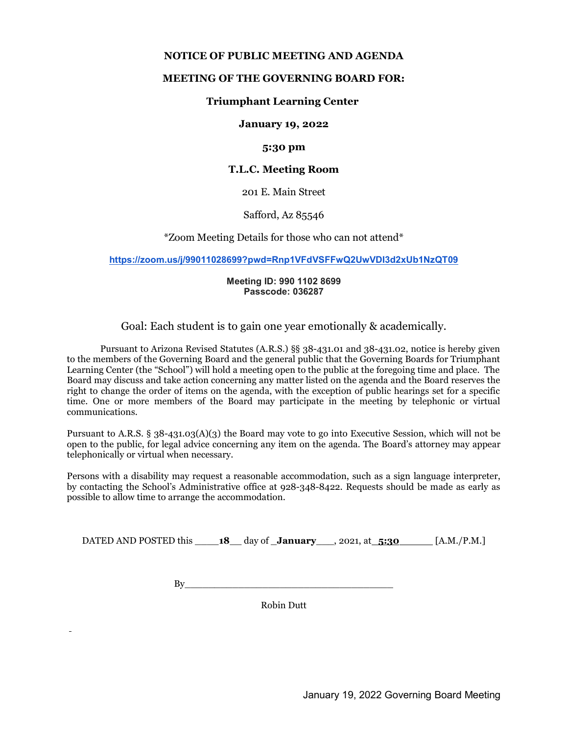#### NOTICE OF PUBLIC MEETING AND AGENDA

#### MEETING OF THE GOVERNING BOARD FOR:

#### Triumphant Learning Center

January 19, 2022

#### 5:30 pm

#### T.L.C. Meeting Room

201 E. Main Street

Safford, Az 85546

\*Zoom Meeting Details for those who can not attend\*

https://zoom.us/j/99011028699?pwd=Rnp1VFdVSFFwQ2UwVDI3d2xUb1NzQT09

#### Meeting ID: 990 1102 8699 Passcode: 036287

Goal: Each student is to gain one year emotionally & academically.

Pursuant to Arizona Revised Statutes (A.R.S.) §§ 38-431.01 and 38-431.02, notice is hereby given to the members of the Governing Board and the general public that the Governing Boards for Triumphant Learning Center (the "School") will hold a meeting open to the public at the foregoing time and place. The Board may discuss and take action concerning any matter listed on the agenda and the Board reserves the right to change the order of items on the agenda, with the exception of public hearings set for a specific time. One or more members of the Board may participate in the meeting by telephonic or virtual communications.

Pursuant to A.R.S. § 38-431.03(A)(3) the Board may vote to go into Executive Session, which will not be open to the public, for legal advice concerning any item on the agenda. The Board's attorney may appear telephonically or virtual when necessary.

Persons with a disability may request a reasonable accommodation, such as a sign language interpreter, by contacting the School's Administrative office at 928-348-8422. Requests should be made as early as possible to allow time to arrange the accommodation.

DATED AND POSTED this \_\_\_\_\_18\_\_ day of \_January\_\_\_, 2021, at \_5:30 [A.M./P.M.]

 $Bv$ 

Robin Dutt

l,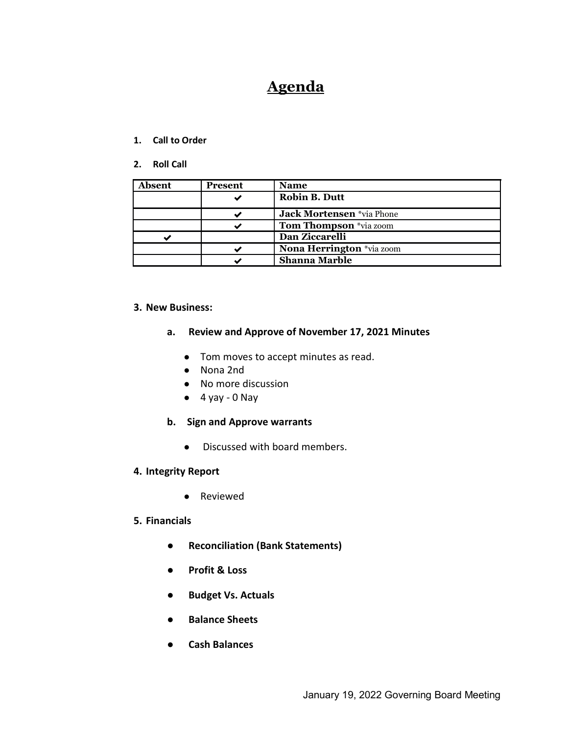# **Agenda**

#### 1. Call to Order

2. Roll Call

| Absent | <b>Present</b> | <b>Name</b>                   |
|--------|----------------|-------------------------------|
|        |                | <b>Robin B. Dutt</b>          |
|        |                | Jack Mortensen *via Phone     |
|        |                | <b>Tom Thompson</b> *via zoom |
|        |                | Dan Ziccarelli                |
|        |                | Nona Herrington *via zoom     |
|        |                | <b>Shanna Marble</b>          |

## 3. New Business:

#### a. Review and Approve of November 17, 2021 Minutes

- Tom moves to accept minutes as read.
- Nona 2nd
- No more discussion
- $\bullet$  4 yay 0 Nay
- b. Sign and Approve warrants
	- Discussed with board members.
- 4. Integrity Report
	- Reviewed

## 5. Financials

- Reconciliation (Bank Statements)
- Profit & Loss
- Budget Vs. Actuals
- Balance Sheets
- Cash Balances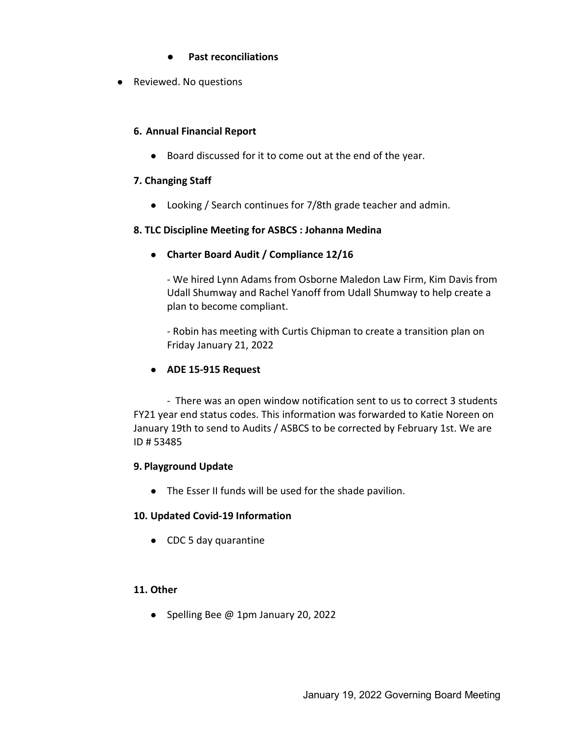- Past reconciliations
- Reviewed. No questions

## 6. Annual Financial Report

● Board discussed for it to come out at the end of the year.

## 7. Changing Staff

● Looking / Search continues for 7/8th grade teacher and admin.

## 8. TLC Discipline Meeting for ASBCS : Johanna Medina

● Charter Board Audit / Compliance 12/16

- We hired Lynn Adams from Osborne Maledon Law Firm, Kim Davis from Udall Shumway and Rachel Yanoff from Udall Shumway to help create a plan to become compliant.

- Robin has meeting with Curtis Chipman to create a transition plan on Friday January 21, 2022

# ● ADE 15-915 Request

- There was an open window notification sent to us to correct 3 students FY21 year end status codes. This information was forwarded to Katie Noreen on January 19th to send to Audits / ASBCS to be corrected by February 1st. We are ID # 53485

# 9. Playground Update

● The Esser II funds will be used for the shade pavilion.

## 10. Updated Covid-19 Information

● CDC 5 day quarantine

## 11. Other

● Spelling Bee @ 1pm January 20, 2022